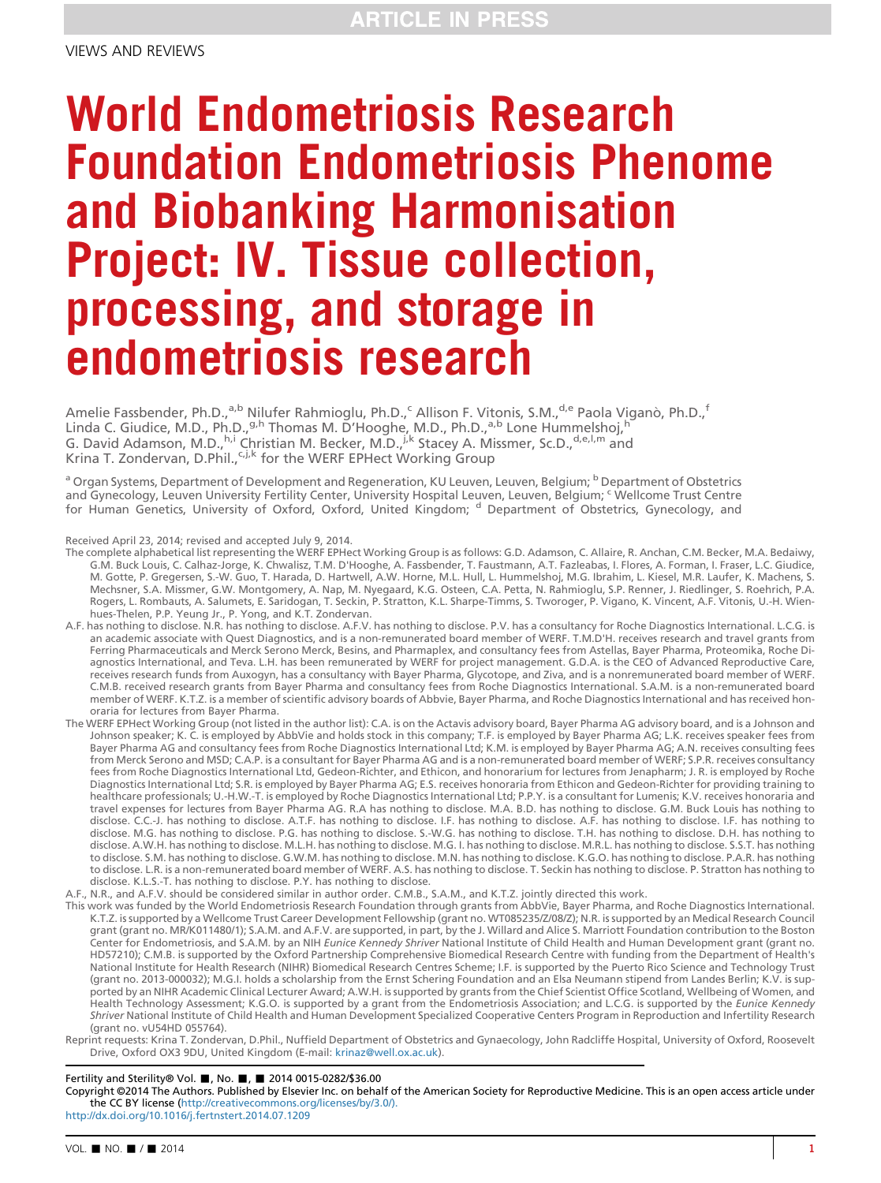# World Endometriosis Research Foundation Endometriosis Phenome and Biobanking Harmonisation Project: IV. Tissue collection, processing, and storage in endometriosis research

Amelie Fassbender, Ph.D.,<sup>a,b</sup> Nilufer Rahmioglu, Ph.D.,<sup>c</sup> Allison F. Vitonis, S.M.,<sup>d,e</sup> Paola Viganò, Ph.D.,<sup>f</sup> Linda C. Giudice, M.D., Ph.D.,<sup>g,h</sup> Thomas M. D'Hooghe, M.D., Ph.D.,<sup>a,b</sup> Lone Hummelshoj,<sup>h</sup> G. David Adamson, M.D.,<sup>h,i</sup> Christian M. Becker, M.D.,<sup>j.k</sup> Stacey A. Missmer, Sc.D.,<sup>d,e,l,m</sup> and Krina T. Zondervan, D.Phil.,<sup>c,j,k</sup> for the WERF EPHect Working Group

<sup>a</sup> Organ Systems, Department of Development and Regeneration, KU Leuven, Leuven, Belgium; <sup>b</sup> Department of Obstetrics and Gynecology, Leuven University Fertility Center, University Hospital Leuven, Leuven, Belgium; <sup>c</sup> Wellcome Trust Centre for Human Genetics, University of Oxford, Oxford, United Kingdom; <sup>d</sup> Department of Obstetrics, Gynecology, and

Received April 23, 2014; revised and accepted July 9, 2014.

- The complete alphabetical list representing the WERF EPHect Working Group is as follows: G.D. Adamson, C. Allaire, R. Anchan, C.M. Becker, M.A. Bedaiwy,<br>G.M. Buck Louis, C. Calhaz-Jorge, K. Chwalisz, T.M. D'Hooghe, A. Fass M. Gotte, P. Gregersen, S.-W. Guo, T. Harada, D. Hartwell, A.W. Horne, M.L. Hull, L. Hummelshoj, M.G. Ibrahim, L. Kiesel, M.R. Laufer, K. Machens, S. Mechsner, S.A. Missmer, G.W. Montgomery, A. Nap, M. Nyegaard, K.G. Osteen, C.A. Petta, N. Rahmioglu, S.P. Renner, J. Riedlinger, S. Roehrich, P.A.<br>Rogers, L. Rombauts, A. Salumets, E. Saridogan, T. Seckin, P. Stratton, K.L hues-Thelen, P.P. Yeung Jr., P. Yong, and K.T. Zondervan.
- A.F. has nothing to disclose. N.R. has nothing to disclose. A.F.V. has nothing to disclose. P.V. has a consultancy for Roche Diagnostics International. L.C.G. is an academic associate with Quest Diagnostics, and is a non-remunerated board member of WERF. T.M.D'H. receives research and travel grants from Ferring Pharmaceuticals and Merck Serono Merck, Besins, and Pharmaplex, and consultancy fees from Astellas, Bayer Pharma, Proteomika, Roche Diagnostics International, and Teva. L.H. has been remunerated by WERF for project management. G.D.A. is the CEO of Advanced Reproductive Care, receives research funds from Auxogyn, has a consultancy with Bayer Pharma, Glycotope, and Ziva, and is a nonremunerated board member of WERF. C.M.B. received research grants from Bayer Pharma and consultancy fees from Roche Diagnostics International. S.A.M. is a non-remunerated board member of WERF. K.T.Z. is a member of scientific advisory boards of Abbvie, Bayer Pharma, and Roche Diagnostics International and has received honoraria for lectures from Bayer Pharma.
- The WERF EPHect Working Group (not listed in the author list): C.A. is on the Actavis advisory board, Bayer Pharma AG advisory board, and is a Johnson and Johnson speaker; K. C. is employed by AbbVie and holds stock in this company; T.F. is employed by Bayer Pharma AG; L.K. receives speaker fees from Bayer Pharma AG and consultancy fees from Roche Diagnostics International Ltd; K.M. is employed by Bayer Pharma AG; A.N. receives consulting fees from Merck Serono and MSD; C.A.P. is a consultant for Bayer Pharma AG and is a non-remunerated board member of WERF; S.P.R. receives consultancy fees from Roche Diagnostics International Ltd, Gedeon-Richter, and Ethicon, and honorarium for lectures from Jenapharm; J. R. is employed by Roche Diagnostics International Ltd; S.R. is employed by Bayer Pharma AG; E.S. receives honoraria from Ethicon and Gedeon-Richter for providing training to healthcare professionals; U.-H.W.-T. is employed by Roche Diagnostics International Ltd; P.P.Y. is a consultant for Lumenis; K.V. receives honoraria and travel expenses for lectures from Bayer Pharma AG. R.A has nothing to disclose. M.A. B.D. has nothing to disclose. G.M. Buck Louis has nothing to disclose. C.C.-J. has nothing to disclose. A.T.F. has nothing to disclose. I.F. has nothing to disclose. A.F. has nothing to disclose. I.F. has nothing to<br>disclose. M.G. has nothing to disclose. P.G. has nothing to disclos disclose. A.W.H. has nothing to disclose. M.L.H. has nothing to disclose. M.G. I. has nothing to disclose. M.R.L. has nothing to disclose. S.S.T. has nothing<br>to disclose. S.M. has nothing to disclose. G.W.M. has nothing to to disclose. L.R. is a non-remunerated board member of WERF. A.S. has nothing to disclose. T. Seckin has nothing to disclose. P. Stratton has nothing to disclose. K.L.S.-T. has nothing to disclose. P.Y. has nothing to disclose.
- A.F., N.R., and A.F.V. should be considered similar in author order. C.M.B., S.A.M., and K.T.Z. jointly directed this work.
- This work was funded by the World Endometriosis Research Foundation through grants from AbbVie, Bayer Pharma, and Roche Diagnostics International. K.T.Z. is supported by a Wellcome Trust Career Development Fellowship (grant no. WT085235/Z/08/Z); N.R. is supported by an Medical Research Council grant (grant no. MR/K011480/1); S.A.M. and A.F.V. are supported, in part, by the J. Willard and Alice S. Marriott Foundation contribution to the Boston Center for Endometriosis, and S.A.M. by an NIH *Eunice Kennedy Shriver* National Institute of Child Health and Human Development grant (grant no. HD57210); C.M.B. is supported by the Oxford Partnership Comprehensive Biomedical Research Centre with funding from the Department of Health's National Institute for Health Research (NIHR) Biomedical Research Centres Scheme; I.F. is supported by the Puerto Rico Science and Technology Trust (grant no. 2013-000032); M.G.I. holds a scholarship from the Ernst Schering Foundation and an Elsa Neumann stipend from Landes Berlin; K.V. is supported by an NIHR Academic Clinical Lecturer Award; A.W.H. is supported by grants from the Chief Scientist Office Scotland, Wellbeing of Women, and Health Technology Assessment; K.G.O. is supported by a grant from the Endometriosis Association; and L.C.G. is supported by the Eunice Kennedy Shriver National Institute of Child Health and Human Development Specialized Cooperative Centers Program in Reproduction and Infertility Research (grant no. vU54HD 055764).
- Reprint requests: Krina T. Zondervan, D.Phil., Nuffield Department of Obstetrics and Gynaecology, John Radcliffe Hospital, University of Oxford, Roosevelt Drive, Oxford OX3 9DU, United Kingdom (E-mail: [krinaz@well.ox.ac.uk\)](mailto:krinaz@well.ox.ac.uk).

#### Fertility and Sterility® Vol. ■, No. ■, ■ 2014 0015-0282/\$36.00

Copyright ©2014 The Authors. Published by Elsevier Inc. on behalf of the American Society for Reproductive Medicine. This is an open access article under the CC BY license [\(http://creativecommons.org/licenses/by/3.0/\).](http://creativecommons.org/licenses/by/3.0/) <http://dx.doi.org/10.1016/j.fertnstert.2014.07.1209>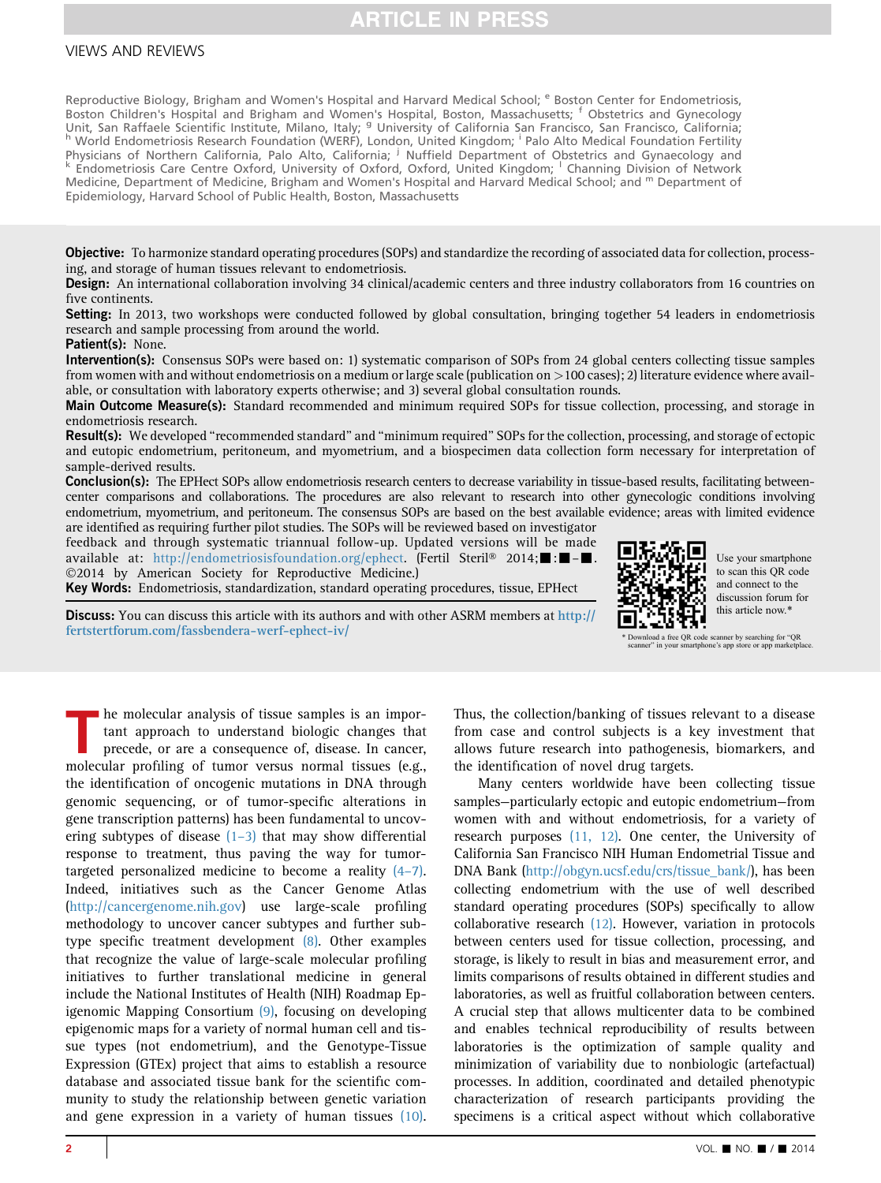## VIEWS AND REVIEWS

Reproductive Biology, Brigham and Women's Hospital and Harvard Medical School; <sup>e</sup> Boston Center for Endometriosis, Boston Children's Hospital and Brigham and Women's Hospital, Boston, Massachusetts; <sup>f</sup> Obstetrics and Gynecology Doctor Communist Constitute Milano, Italy; <sup>9</sup> University of California San Francisco, San Francisco, California;<br><sup>h</sup> World Endometriosis Research Foundation (WERF), London, United Kingdom; <sup>i</sup> Palo Alto Medical Foundation Endometriosis Care Centre Oxford, University of Oxford, Oxford, United Kingdom; <sup>I</sup> Channing Division of Network Medicine, Department of Medicine, Brigham and Women's Hospital and Harvard Medical School; and <sup>m</sup> Department of Epidemiology, Harvard School of Public Health, Boston, Massachusetts

Objective: To harmonize standard operating procedures (SOPs) and standardize the recording of associated data for collection, processing, and storage of human tissues relevant to endometriosis.

**Design:** An international collaboration involving 34 clinical/academic centers and three industry collaborators from 16 countries on five continents.

Setting: In 2013, two workshops were conducted followed by global consultation, bringing together 54 leaders in endometriosis research and sample processing from around the world.

#### Patient(s): None.

Intervention(s): Consensus SOPs were based on: 1) systematic comparison of SOPs from 24 global centers collecting tissue samples from women with and without endometriosis on a medium or large scale (publication on  $>$ 100 cases); 2) literature evidence where available, or consultation with laboratory experts otherwise; and 3) several global consultation rounds.

Main Outcome Measure(s): Standard recommended and minimum required SOPs for tissue collection, processing, and storage in endometriosis research.

Result(s): We developed ''recommended standard'' and ''minimum required'' SOPs for the collection, processing, and storage of ectopic and eutopic endometrium, peritoneum, and myometrium, and a biospecimen data collection form necessary for interpretation of sample-derived results.

Conclusion(s): The EPHect SOPs allow endometriosis research centers to decrease variability in tissue-based results, facilitating betweencenter comparisons and collaborations. The procedures are also relevant to research into other gynecologic conditions involving endometrium, myometrium, and peritoneum. The consensus SOPs are based on the best available evidence; areas with limited evidence are identified as requiring further pilot studies. The SOPs will be reviewed based on investigator

feedback and through systematic triannual follow-up. Updated versions will be made available at: <http://endometriosisfoundation.org/ephect>. (Fertil Steril<sup>®</sup> 2014; $\blacksquare$ : $\blacksquare$ - $\blacksquare$ . 2014 by American Society for Reproductive Medicine.)

Key Words: Endometriosis, standardization, standard operating procedures, tissue, EPHect



Use your smartphone to scan this QR code and connect to the discussion forum for this article now.\*

Discuss: You can discuss this article with its authors and with other ASRM members at [http://](http://fertstertforum.com/fassbendera-werf-ephect-iv/) [fertstertforum.com/fassbendera-werf-ephect-iv/](http://fertstertforum.com/fassbendera-werf-ephect-iv/)

\* Download a free QR code scanner by searching for "QR scanner" in your smartphone's app store or app marketplace.

The molecular analysis of tissue samples is an impor-<br>tant approach to understand biologic changes that<br>precede, or are a consequence of, disease. In cancer,<br>molecular profiling of tumor versus normal tissues (e.g. tant approach to understand biologic changes that precede, or are a consequence of, disease. In cancer, molecular profiling of tumor versus normal tissues (e.g., the identification of oncogenic mutations in DNA through genomic sequencing, or of tumor-specific alterations in gene transcription patterns) has been fundamental to uncovering subtypes of disease  $(1-3)$  $(1-3)$  that may show differential response to treatment, thus paving the way for tumortargeted personalized medicine to become a reality (4–[7\).](#page-7-0) Indeed, initiatives such as the Cancer Genome Atlas [\(http://cancergenome.nih.gov](http://cancergenome.nih.gov)) use large-scale profiling methodology to uncover cancer subtypes and further subtype specific treatment development [\(8\)](#page-7-0). Other examples that recognize the value of large-scale molecular profiling initiatives to further translational medicine in general include the National Institutes of Health (NIH) Roadmap Epigenomic Mapping Consortium [\(9\),](#page-7-0) focusing on developing epigenomic maps for a variety of normal human cell and tissue types (not endometrium), and the Genotype-Tissue Expression (GTEx) project that aims to establish a resource database and associated tissue bank for the scientific community to study the relationship between genetic variation and gene expression in a variety of human tissues [\(10\).](#page-7-0)

Thus, the collection/banking of tissues relevant to a disease from case and control subjects is a key investment that allows future research into pathogenesis, biomarkers, and the identification of novel drug targets.

Many centers worldwide have been collecting tissue samples—particularly ectopic and eutopic endometrium—from women with and without endometriosis, for a variety of research purposes [\(11, 12\)](#page-7-0). One center, the University of California San Francisco NIH Human Endometrial Tissue and DNA Bank ([http://obgyn.ucsf.edu/crs/tissue\\_bank/](http://obgyn.ucsf.edu/crs/tissue_bank/)), has been collecting endometrium with the use of well described standard operating procedures (SOPs) specifically to allow collaborative research [\(12\).](#page-7-0) However, variation in protocols between centers used for tissue collection, processing, and storage, is likely to result in bias and measurement error, and limits comparisons of results obtained in different studies and laboratories, as well as fruitful collaboration between centers. A crucial step that allows multicenter data to be combined and enables technical reproducibility of results between laboratories is the optimization of sample quality and minimization of variability due to nonbiologic (artefactual) processes. In addition, coordinated and detailed phenotypic characterization of research participants providing the specimens is a critical aspect without which collaborative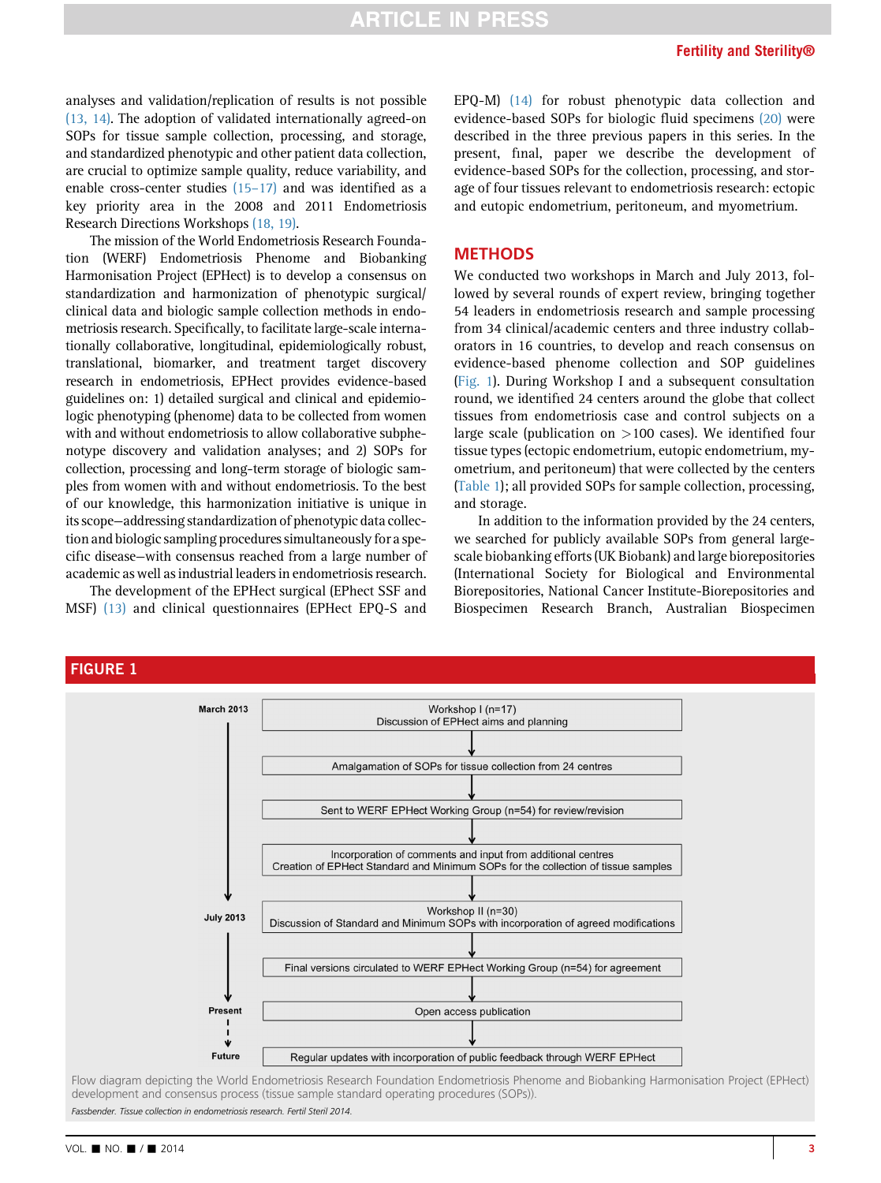analyses and validation/replication of results is not possible [\(13, 14\)](#page-7-0). The adoption of validated internationally agreed-on SOPs for tissue sample collection, processing, and storage, and standardized phenotypic and other patient data collection, are crucial to optimize sample quality, reduce variability, and enable cross-center studies [\(15](#page-7-0)–17) and was identified as a key priority area in the 2008 and 2011 Endometriosis Research Directions Workshops [\(18, 19\).](#page-7-0)

The mission of the World Endometriosis Research Foundation (WERF) Endometriosis Phenome and Biobanking Harmonisation Project (EPHect) is to develop a consensus on standardization and harmonization of phenotypic surgical/ clinical data and biologic sample collection methods in endometriosis research. Specifically, to facilitate large-scale internationally collaborative, longitudinal, epidemiologically robust, translational, biomarker, and treatment target discovery research in endometriosis, EPHect provides evidence-based guidelines on: 1) detailed surgical and clinical and epidemiologic phenotyping (phenome) data to be collected from women with and without endometriosis to allow collaborative subphenotype discovery and validation analyses; and 2) SOPs for collection, processing and long-term storage of biologic samples from women with and without endometriosis. To the best of our knowledge, this harmonization initiative is unique in its scope—addressing standardization of phenotypic data collection and biologic sampling procedures simultaneously for a specific disease—with consensus reached from a large number of academic as well as industrial leaders in endometriosis research.

The development of the EPHect surgical (EPhect SSF and MSF) [\(13\)](#page-7-0) and clinical questionnaires (EPHect EPQ-S and EPQ-M) [\(14\)](#page-7-0) for robust phenotypic data collection and evidence-based SOPs for biologic fluid specimens [\(20\)](#page-7-0) were described in the three previous papers in this series. In the present, final, paper we describe the development of evidence-based SOPs for the collection, processing, and storage of four tissues relevant to endometriosis research: ectopic and eutopic endometrium, peritoneum, and myometrium.

#### **METHODS**

We conducted two workshops in March and July 2013, followed by several rounds of expert review, bringing together 54 leaders in endometriosis research and sample processing from 34 clinical/academic centers and three industry collaborators in 16 countries, to develop and reach consensus on evidence-based phenome collection and SOP guidelines (Fig. 1). During Workshop I and a subsequent consultation round, we identified 24 centers around the globe that collect tissues from endometriosis case and control subjects on a large scale (publication on  $>100$  cases). We identified four tissue types (ectopic endometrium, eutopic endometrium, myometrium, and peritoneum) that were collected by the centers ([Table 1](#page-3-0)); all provided SOPs for sample collection, processing, and storage.

In addition to the information provided by the 24 centers, we searched for publicly available SOPs from general largescale biobanking efforts (UK Biobank) and large biorepositories (International Society for Biological and Environmental Biorepositories, National Cancer Institute-Biorepositories and Biospecimen Research Branch, Australian Biospecimen



development and consensus process (tissue sample standard operating procedures (SOPs)). Fassbender. Tissue collection in endometriosis research. Fertil Steril 2014.

FIGURE 1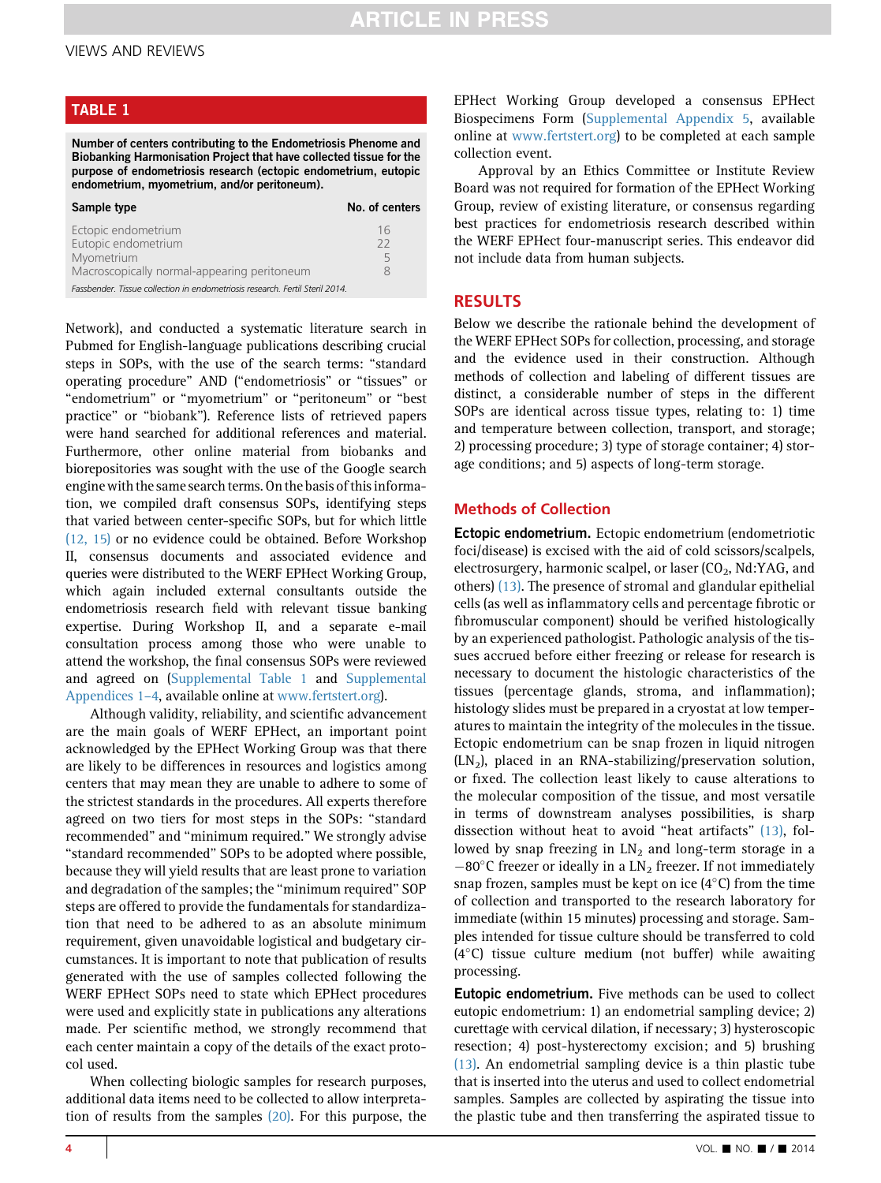# <span id="page-3-0"></span>TABLE 1

Number of centers contributing to the Endometriosis Phenome and Biobanking Harmonisation Project that have collected tissue for the purpose of endometriosis research (ectopic endometrium, eutopic endometrium, myometrium, and/or peritoneum).

| Sample type                                                                  | No. of centers |
|------------------------------------------------------------------------------|----------------|
| Ectopic endometrium                                                          | 16             |
| Eutopic endometrium                                                          | 77             |
| Myometrium                                                                   | 5              |
| Macroscopically normal-appearing peritoneum                                  | 8              |
| Fassbender. Tissue collection in endometriosis research. Fertil Steril 2014. |                |

Network), and conducted a systematic literature search in Pubmed for English-language publications describing crucial steps in SOPs, with the use of the search terms: ''standard operating procedure'' AND (''endometriosis'' or ''tissues'' or ''endometrium'' or ''myometrium'' or ''peritoneum'' or ''best practice'' or ''biobank''). Reference lists of retrieved papers were hand searched for additional references and material. Furthermore, other online material from biobanks and biorepositories was sought with the use of the Google search engine with the same search terms. On the basis of this information, we compiled draft consensus SOPs, identifying steps that varied between center-specific SOPs, but for which little [\(12, 15\)](#page-7-0) or no evidence could be obtained. Before Workshop II, consensus documents and associated evidence and queries were distributed to the WERF EPHect Working Group, which again included external consultants outside the endometriosis research field with relevant tissue banking expertise. During Workshop II, and a separate e-mail consultation process among those who were unable to attend the workshop, the final consensus SOPs were reviewed and agreed on (Supplemental Table 1 and Supplemental Appendices 1–4, available online at [www.fertstert.org\)](http://www.fertstert.org).

Although validity, reliability, and scientific advancement are the main goals of WERF EPHect, an important point acknowledged by the EPHect Working Group was that there are likely to be differences in resources and logistics among centers that may mean they are unable to adhere to some of the strictest standards in the procedures. All experts therefore agreed on two tiers for most steps in the SOPs: ''standard recommended'' and ''minimum required.'' We strongly advise ''standard recommended'' SOPs to be adopted where possible, because they will yield results that are least prone to variation and degradation of the samples; the ''minimum required'' SOP steps are offered to provide the fundamentals for standardization that need to be adhered to as an absolute minimum requirement, given unavoidable logistical and budgetary circumstances. It is important to note that publication of results generated with the use of samples collected following the WERF EPHect SOPs need to state which EPHect procedures were used and explicitly state in publications any alterations made. Per scientific method, we strongly recommend that each center maintain a copy of the details of the exact protocol used.

When collecting biologic samples for research purposes, additional data items need to be collected to allow interpretation of results from the samples [\(20\)](#page-7-0). For this purpose, the EPHect Working Group developed a consensus EPHect Biospecimens Form (Supplemental Appendix 5, available online at [www.fertstert.org](http://www.fertstert.org)) to be completed at each sample collection event.

Approval by an Ethics Committee or Institute Review Board was not required for formation of the EPHect Working Group, review of existing literature, or consensus regarding best practices for endometriosis research described within the WERF EPHect four-manuscript series. This endeavor did not include data from human subjects.

# RESULTS

Below we describe the rationale behind the development of the WERF EPHect SOPs for collection, processing, and storage and the evidence used in their construction. Although methods of collection and labeling of different tissues are distinct, a considerable number of steps in the different SOPs are identical across tissue types, relating to: 1) time and temperature between collection, transport, and storage; 2) processing procedure; 3) type of storage container; 4) storage conditions; and 5) aspects of long-term storage.

## Methods of Collection

Ectopic endometrium. Ectopic endometrium (endometriotic foci/disease) is excised with the aid of cold scissors/scalpels, electrosurgery, harmonic scalpel, or laser  $(CO<sub>2</sub>, Nd:YAG, and$ others) [\(13\).](#page-7-0) The presence of stromal and glandular epithelial cells (as well as inflammatory cells and percentage fibrotic or fibromuscular component) should be verified histologically by an experienced pathologist. Pathologic analysis of the tissues accrued before either freezing or release for research is necessary to document the histologic characteristics of the tissues (percentage glands, stroma, and inflammation); histology slides must be prepared in a cryostat at low temperatures to maintain the integrity of the molecules in the tissue. Ectopic endometrium can be snap frozen in liquid nitrogen  $(LN<sub>2</sub>)$ , placed in an RNA-stabilizing/preservation solution, or fixed. The collection least likely to cause alterations to the molecular composition of the tissue, and most versatile in terms of downstream analyses possibilities, is sharp dissection without heat to avoid ''heat artifacts'' [\(13\)](#page-7-0), followed by snap freezing in  $LN<sub>2</sub>$  and long-term storage in a  $-80^{\circ}$ C freezer or ideally in a LN<sub>2</sub> freezer. If not immediately snap frozen, samples must be kept on ice  $(4^{\circ}C)$  from the time of collection and transported to the research laboratory for immediate (within 15 minutes) processing and storage. Samples intended for tissue culture should be transferred to cold ( $4^{\circ}$ C) tissue culture medium (not buffer) while awaiting processing.

**Eutopic endometrium.** Five methods can be used to collect eutopic endometrium: 1) an endometrial sampling device; 2) curettage with cervical dilation, if necessary; 3) hysteroscopic resection; 4) post-hysterectomy excision; and 5) brushing [\(13\).](#page-7-0) An endometrial sampling device is a thin plastic tube that is inserted into the uterus and used to collect endometrial samples. Samples are collected by aspirating the tissue into the plastic tube and then transferring the aspirated tissue to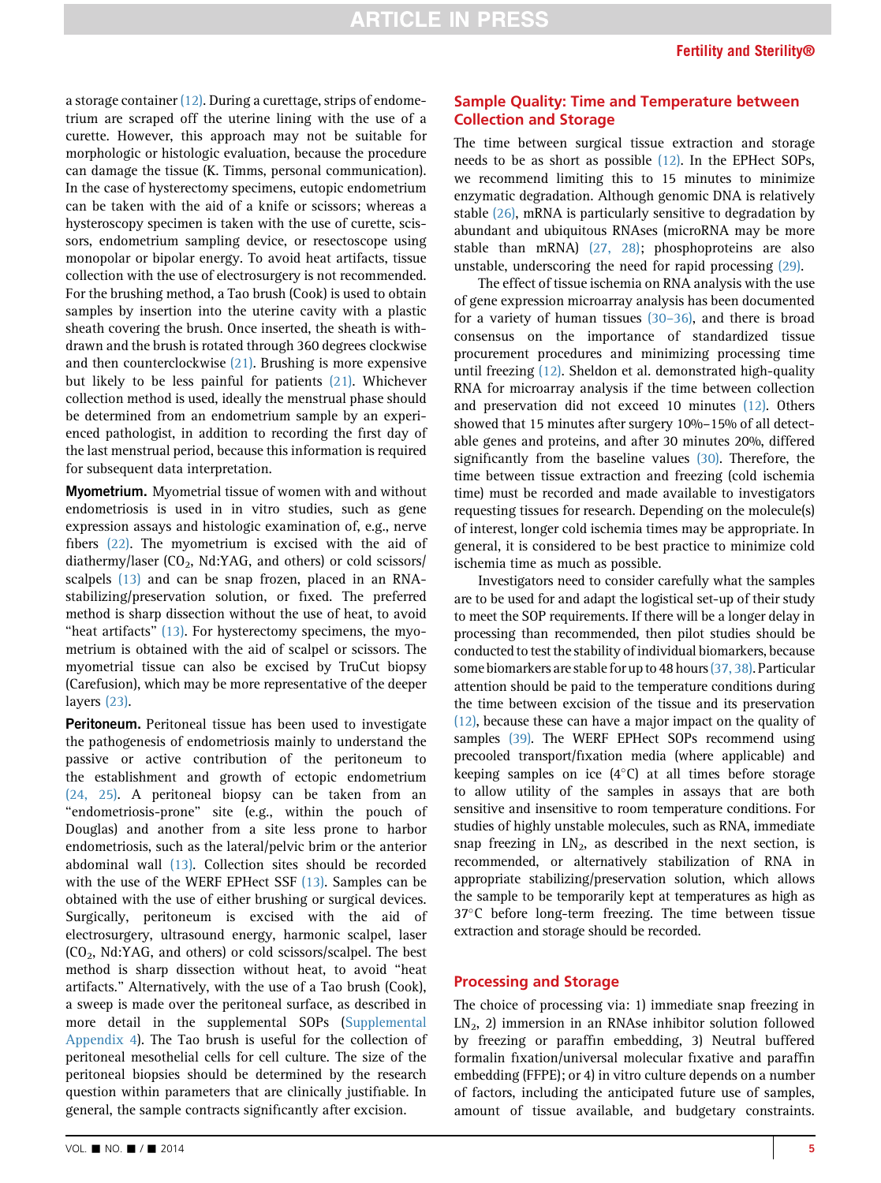a storage container [\(12\).](#page-7-0) During a curettage, strips of endometrium are scraped off the uterine lining with the use of a curette. However, this approach may not be suitable for morphologic or histologic evaluation, because the procedure can damage the tissue (K. Timms, personal communication). In the case of hysterectomy specimens, eutopic endometrium can be taken with the aid of a knife or scissors; whereas a hysteroscopy specimen is taken with the use of curette, scissors, endometrium sampling device, or resectoscope using monopolar or bipolar energy. To avoid heat artifacts, tissue collection with the use of electrosurgery is not recommended. For the brushing method, a Tao brush (Cook) is used to obtain samples by insertion into the uterine cavity with a plastic sheath covering the brush. Once inserted, the sheath is withdrawn and the brush is rotated through 360 degrees clockwise and then counterclockwise [\(21\)](#page-7-0). Brushing is more expensive but likely to be less painful for patients [\(21\)](#page-7-0). Whichever collection method is used, ideally the menstrual phase should be determined from an endometrium sample by an experienced pathologist, in addition to recording the first day of the last menstrual period, because this information is required for subsequent data interpretation.

Myometrium. Myometrial tissue of women with and without endometriosis is used in in vitro studies, such as gene expression assays and histologic examination of, e.g., nerve fibers [\(22\).](#page-7-0) The myometrium is excised with the aid of diathermy/laser  $(CO_2, Nd:YAG, and others)$  or cold scissors/ scalpels [\(13\)](#page-7-0) and can be snap frozen, placed in an RNAstabilizing/preservation solution, or fixed. The preferred method is sharp dissection without the use of heat, to avoid "heat artifacts" [\(13\).](#page-7-0) For hysterectomy specimens, the myometrium is obtained with the aid of scalpel or scissors. The myometrial tissue can also be excised by TruCut biopsy (Carefusion), which may be more representative of the deeper layers [\(23\).](#page-8-0)

Peritoneum. Peritoneal tissue has been used to investigate the pathogenesis of endometriosis mainly to understand the passive or active contribution of the peritoneum to the establishment and growth of ectopic endometrium [\(24, 25\).](#page-8-0) A peritoneal biopsy can be taken from an ''endometriosis-prone'' site (e.g., within the pouch of Douglas) and another from a site less prone to harbor endometriosis, such as the lateral/pelvic brim or the anterior abdominal wall [\(13\)](#page-7-0). Collection sites should be recorded with the use of the WERF EPHect SSF [\(13\)](#page-7-0). Samples can be obtained with the use of either brushing or surgical devices. Surgically, peritoneum is excised with the aid of electrosurgery, ultrasound energy, harmonic scalpel, laser (CO2, Nd:YAG, and others) or cold scissors/scalpel. The best method is sharp dissection without heat, to avoid ''heat artifacts.'' Alternatively, with the use of a Tao brush (Cook), a sweep is made over the peritoneal surface, as described in more detail in the supplemental SOPs (Supplemental Appendix 4). The Tao brush is useful for the collection of peritoneal mesothelial cells for cell culture. The size of the peritoneal biopsies should be determined by the research question within parameters that are clinically justifiable. In general, the sample contracts significantly after excision.

# Sample Quality: Time and Temperature between Collection and Storage

The time between surgical tissue extraction and storage needs to be as short as possible [\(12\)](#page-7-0). In the EPHect SOPs, we recommend limiting this to 15 minutes to minimize enzymatic degradation. Although genomic DNA is relatively stable [\(26\)](#page-8-0), mRNA is particularly sensitive to degradation by abundant and ubiquitous RNAses (microRNA may be more stable than mRNA) [\(27, 28\);](#page-8-0) phosphoproteins are also unstable, underscoring the need for rapid processing [\(29\).](#page-8-0)

The effect of tissue ischemia on RNA analysis with the use of gene expression microarray analysis has been documented for a variety of human tissues (30–[36\),](#page-8-0) and there is broad consensus on the importance of standardized tissue procurement procedures and minimizing processing time until freezing [\(12\)](#page-7-0). Sheldon et al. demonstrated high-quality RNA for microarray analysis if the time between collection and preservation did not exceed 10 minutes [\(12\).](#page-7-0) Others showed that 15 minutes after surgery 10%–15% of all detectable genes and proteins, and after 30 minutes 20%, differed significantly from the baseline values [\(30\).](#page-8-0) Therefore, the time between tissue extraction and freezing (cold ischemia time) must be recorded and made available to investigators requesting tissues for research. Depending on the molecule(s) of interest, longer cold ischemia times may be appropriate. In general, it is considered to be best practice to minimize cold ischemia time as much as possible.

Investigators need to consider carefully what the samples are to be used for and adapt the logistical set-up of their study to meet the SOP requirements. If there will be a longer delay in processing than recommended, then pilot studies should be conducted to test the stability of individual biomarkers, because some biomarkers are stable for up to 48 hours[\(37, 38\)](#page-8-0). Particular attention should be paid to the temperature conditions during the time between excision of the tissue and its preservation [\(12\)](#page-7-0), because these can have a major impact on the quality of samples [\(39\)](#page-8-0). The WERF EPHect SOPs recommend using precooled transport/fixation media (where applicable) and keeping samples on ice  $(4^{\circ}C)$  at all times before storage to allow utility of the samples in assays that are both sensitive and insensitive to room temperature conditions. For studies of highly unstable molecules, such as RNA, immediate snap freezing in  $LN_2$ , as described in the next section, is recommended, or alternatively stabilization of RNA in appropriate stabilizing/preservation solution, which allows the sample to be temporarily kept at temperatures as high as  $37^{\circ}$ C before long-term freezing. The time between tissue extraction and storage should be recorded.

#### Processing and Storage

The choice of processing via: 1) immediate snap freezing in  $LN<sub>2</sub>$ , 2) immersion in an RNAse inhibitor solution followed by freezing or paraffin embedding, 3) Neutral buffered formalin fixation/universal molecular fixative and paraffin embedding (FFPE); or 4) in vitro culture depends on a number of factors, including the anticipated future use of samples, amount of tissue available, and budgetary constraints.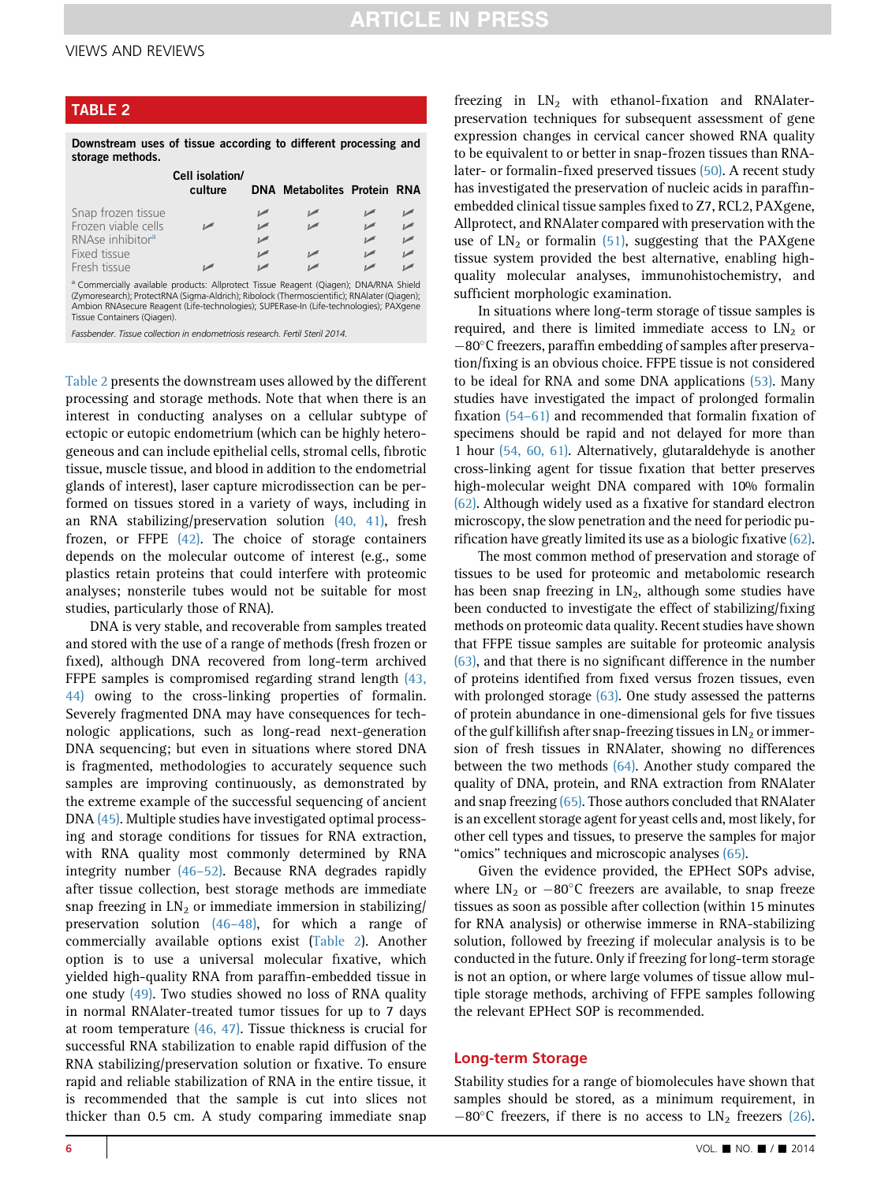# **ARTICLE IN PRESS**

# TABLE 2

Downstream uses of tissue according to different processing and storage methods.

|                                                                                                                                                                                                                                                                                           | Cell isolation/<br>culture |     | DNA Metabolites Protein RNA |  |  |  |  |
|-------------------------------------------------------------------------------------------------------------------------------------------------------------------------------------------------------------------------------------------------------------------------------------------|----------------------------|-----|-----------------------------|--|--|--|--|
| Snap frozen tissue                                                                                                                                                                                                                                                                        |                            |     |                             |  |  |  |  |
| Frozen viable cells                                                                                                                                                                                                                                                                       |                            |     |                             |  |  |  |  |
| RNAse inhibitor <sup>a</sup>                                                                                                                                                                                                                                                              |                            | صما |                             |  |  |  |  |
| Fixed tissue                                                                                                                                                                                                                                                                              |                            |     |                             |  |  |  |  |
| Fresh tissue                                                                                                                                                                                                                                                                              |                            |     |                             |  |  |  |  |
| <sup>a</sup> Commercially available products: Allprotect Tissue Reagent (Qiagen); DNA/RNA Shield<br>(Zymoresearch); ProtectRNA (Sigma-Aldrich); Ribolock (Thermoscientific); RNAlater (Qiagen);<br>Ambion RNAsecure Reagent (Life-technologies); SUPERase-In (Life-technologies); PAXgene |                            |     |                             |  |  |  |  |

Tissue Containers (Qiagen).

Fassbender. Tissue collection in endometriosis research. Fertil Steril 2014.

Table 2 presents the downstream uses allowed by the different processing and storage methods. Note that when there is an interest in conducting analyses on a cellular subtype of ectopic or eutopic endometrium (which can be highly heterogeneous and can include epithelial cells, stromal cells, fibrotic tissue, muscle tissue, and blood in addition to the endometrial glands of interest), laser capture microdissection can be performed on tissues stored in a variety of ways, including in an RNA stabilizing/preservation solution [\(40, 41\)](#page-8-0), fresh frozen, or FFPE [\(42\).](#page-8-0) The choice of storage containers depends on the molecular outcome of interest (e.g., some plastics retain proteins that could interfere with proteomic analyses; nonsterile tubes would not be suitable for most studies, particularly those of RNA).

DNA is very stable, and recoverable from samples treated and stored with the use of a range of methods (fresh frozen or fixed), although DNA recovered from long-term archived FFPE samples is compromised regarding strand length [\(43,](#page-8-0) [44\)](#page-8-0) owing to the cross-linking properties of formalin. Severely fragmented DNA may have consequences for technologic applications, such as long-read next-generation DNA sequencing; but even in situations where stored DNA is fragmented, methodologies to accurately sequence such samples are improving continuously, as demonstrated by the extreme example of the successful sequencing of ancient DNA [\(45\)](#page-8-0). Multiple studies have investigated optimal processing and storage conditions for tissues for RNA extraction, with RNA quality most commonly determined by RNA integrity number (46–[52\).](#page-8-0) Because RNA degrades rapidly after tissue collection, best storage methods are immediate snap freezing in  $LN<sub>2</sub>$  or immediate immersion in stabilizing/ preservation solution (46–[48\),](#page-8-0) for which a range of commercially available options exist (Table 2). Another option is to use a universal molecular fixative, which yielded high-quality RNA from paraffin-embedded tissue in one study [\(49\).](#page-8-0) Two studies showed no loss of RNA quality in normal RNAlater-treated tumor tissues for up to 7 days at room temperature [\(46, 47\)](#page-8-0). Tissue thickness is crucial for successful RNA stabilization to enable rapid diffusion of the RNA stabilizing/preservation solution or fixative. To ensure rapid and reliable stabilization of RNA in the entire tissue, it is recommended that the sample is cut into slices not thicker than 0.5 cm. A study comparing immediate snap

freezing in  $LN_2$  with ethanol-fixation and RNAlaterpreservation techniques for subsequent assessment of gene expression changes in cervical cancer showed RNA quality to be equivalent to or better in snap-frozen tissues than RNAlater- or formalin-fixed preserved tissues [\(50\)](#page-8-0). A recent study has investigated the preservation of nucleic acids in paraffinembedded clinical tissue samples fixed to Z7, RCL2, PAXgene, Allprotect, and RNAlater compared with preservation with the use of  $LN_2$  or formalin [\(51\),](#page-8-0) suggesting that the PAXgene tissue system provided the best alternative, enabling highquality molecular analyses, immunohistochemistry, and sufficient morphologic examination.

In situations where long-term storage of tissue samples is required, and there is limited immediate access to  $LN<sub>2</sub>$  or  $-80^{\circ}$ C freezers, paraffin embedding of samples after preservation/fixing is an obvious choice. FFPE tissue is not considered to be ideal for RNA and some DNA applications [\(53\)](#page-8-0). Many studies have investigated the impact of prolonged formalin fixation (54–[61\)](#page-8-0) and recommended that formalin fixation of specimens should be rapid and not delayed for more than 1 hour [\(54, 60, 61\).](#page-8-0) Alternatively, glutaraldehyde is another cross-linking agent for tissue fixation that better preserves high-molecular weight DNA compared with 10% formalin [\(62\).](#page-8-0) Although widely used as a fixative for standard electron microscopy, the slow penetration and the need for periodic purification have greatly limited its use as a biologic fixative [\(62\).](#page-8-0)

The most common method of preservation and storage of tissues to be used for proteomic and metabolomic research has been snap freezing in  $LN<sub>2</sub>$ , although some studies have been conducted to investigate the effect of stabilizing/fixing methods on proteomic data quality. Recent studies have shown that FFPE tissue samples are suitable for proteomic analysis [\(63\),](#page-8-0) and that there is no significant difference in the number of proteins identified from fixed versus frozen tissues, even with prolonged storage [\(63\)](#page-8-0). One study assessed the patterns of protein abundance in one-dimensional gels for five tissues of the gulf killifish after snap-freezing tissues in  $LN<sub>2</sub>$  or immersion of fresh tissues in RNAlater, showing no differences between the two methods [\(64\).](#page-8-0) Another study compared the quality of DNA, protein, and RNA extraction from RNAlater and snap freezing [\(65\).](#page-8-0) Those authors concluded that RNAlater is an excellent storage agent for yeast cells and, most likely, for other cell types and tissues, to preserve the samples for major "omics" techniques and microscopic analyses [\(65\)](#page-8-0).

Given the evidence provided, the EPHect SOPs advise, where  $LN_2$  or  $-80^{\circ}$ C freezers are available, to snap freeze tissues as soon as possible after collection (within 15 minutes for RNA analysis) or otherwise immerse in RNA-stabilizing solution, followed by freezing if molecular analysis is to be conducted in the future. Only if freezing for long-term storage is not an option, or where large volumes of tissue allow multiple storage methods, archiving of FFPE samples following the relevant EPHect SOP is recommended.

#### Long-term Storage

Stability studies for a range of biomolecules have shown that samples should be stored, as a minimum requirement, in  $-80^{\circ}$ C freezers, if there is no access to LN<sub>2</sub> freezers [\(26\).](#page-8-0)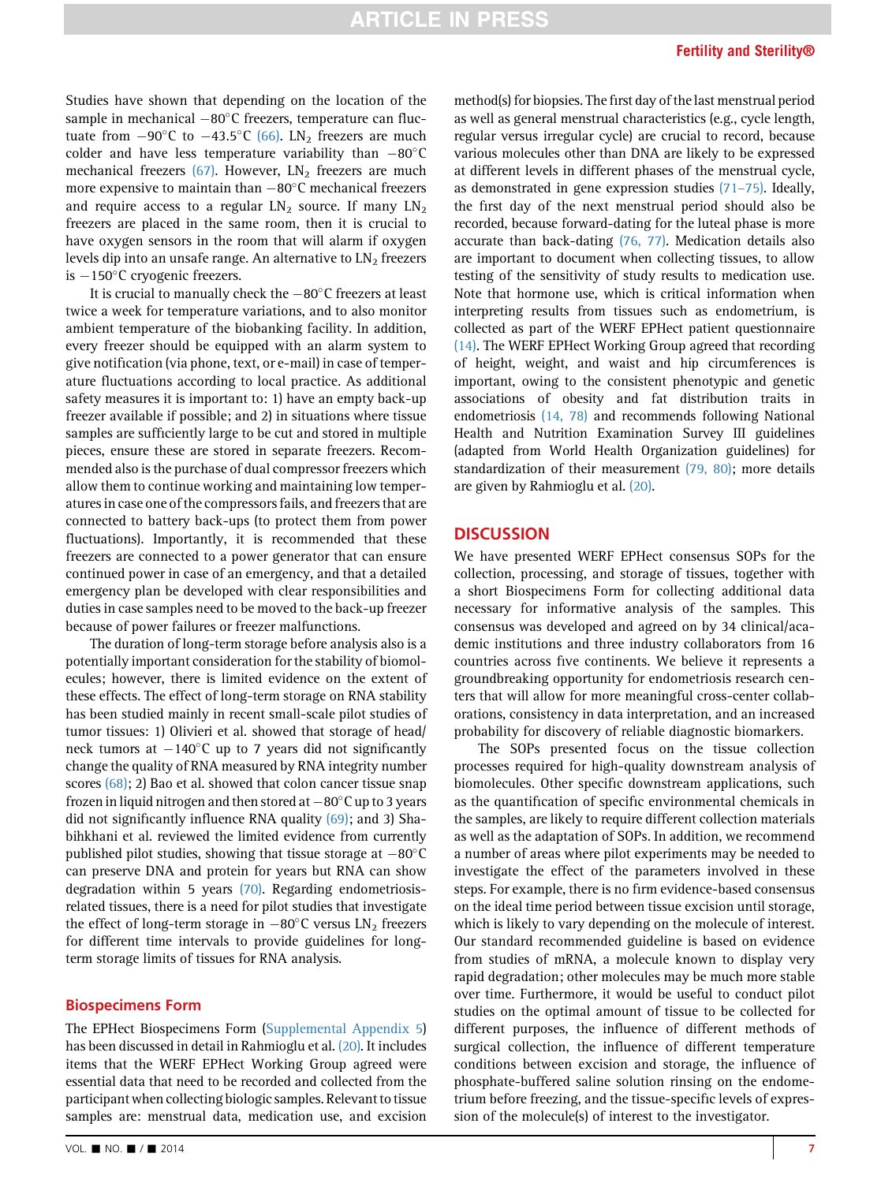Studies have shown that depending on the location of the sample in mechanical  $-80^{\circ}$ C freezers, temperature can fluctuate from  $-90^{\circ}$ C to  $-43.5^{\circ}$ C [\(66\).](#page-8-0) LN<sub>2</sub> freezers are much colder and have less temperature variability than  $-80^{\circ}$ C mechanical freezers [\(67\).](#page-8-0) However,  $LN<sub>2</sub>$  freezers are much more expensive to maintain than  $-80^{\circ}$ C mechanical freezers and require access to a regular  $LN_2$  source. If many  $LN_2$ freezers are placed in the same room, then it is crucial to have oxygen sensors in the room that will alarm if oxygen levels dip into an unsafe range. An alternative to  $LN<sub>2</sub>$  freezers is  $-150^{\circ}$ C cryogenic freezers.

It is crucial to manually check the  $-80^{\circ}$ C freezers at least twice a week for temperature variations, and to also monitor ambient temperature of the biobanking facility. In addition, every freezer should be equipped with an alarm system to give notification (via phone, text, or e-mail) in case of temperature fluctuations according to local practice. As additional safety measures it is important to: 1) have an empty back-up freezer available if possible; and 2) in situations where tissue samples are sufficiently large to be cut and stored in multiple pieces, ensure these are stored in separate freezers. Recommended also is the purchase of dual compressor freezers which allow them to continue working and maintaining low temperatures in case one of the compressors fails, and freezers that are connected to battery back-ups (to protect them from power fluctuations). Importantly, it is recommended that these freezers are connected to a power generator that can ensure continued power in case of an emergency, and that a detailed emergency plan be developed with clear responsibilities and duties in case samples need to be moved to the back-up freezer because of power failures or freezer malfunctions.

The duration of long-term storage before analysis also is a potentially important consideration for the stability of biomolecules; however, there is limited evidence on the extent of these effects. The effect of long-term storage on RNA stability has been studied mainly in recent small-scale pilot studies of tumor tissues: 1) Olivieri et al. showed that storage of head/ neck tumors at  $-140^{\circ}$ C up to 7 years did not significantly change the quality of RNA measured by RNA integrity number scores [\(68\)](#page-9-0); 2) Bao et al. showed that colon cancer tissue snap frozen in liquid nitrogen and then stored at  $-80^{\circ}$ C up to 3 years did not significantly influence RNA quality [\(69\);](#page-9-0) and 3) Shabihkhani et al. reviewed the limited evidence from currently published pilot studies, showing that tissue storage at  $-80^{\circ}$ C can preserve DNA and protein for years but RNA can show degradation within 5 years [\(70\)](#page-9-0). Regarding endometriosisrelated tissues, there is a need for pilot studies that investigate the effect of long-term storage in  $-80^{\circ}$ C versus LN<sub>2</sub> freezers for different time intervals to provide guidelines for longterm storage limits of tissues for RNA analysis.

#### Biospecimens Form

The EPHect Biospecimens Form (Supplemental Appendix 5) has been discussed in detail in Rahmioglu et al. [\(20\).](#page-7-0) It includes items that the WERF EPHect Working Group agreed were essential data that need to be recorded and collected from the participant when collecting biologic samples. Relevant to tissue samples are: menstrual data, medication use, and excision method(s) for biopsies. The first day of the last menstrual period as well as general menstrual characteristics (e.g., cycle length, regular versus irregular cycle) are crucial to record, because various molecules other than DNA are likely to be expressed at different levels in different phases of the menstrual cycle, as demonstrated in gene expression studies [\(71](#page-9-0)–75). Ideally, the first day of the next menstrual period should also be recorded, because forward-dating for the luteal phase is more accurate than back-dating [\(76, 77\).](#page-9-0) Medication details also are important to document when collecting tissues, to allow testing of the sensitivity of study results to medication use. Note that hormone use, which is critical information when interpreting results from tissues such as endometrium, is collected as part of the WERF EPHect patient questionnaire [\(14\).](#page-7-0) The WERF EPHect Working Group agreed that recording of height, weight, and waist and hip circumferences is important, owing to the consistent phenotypic and genetic associations of obesity and fat distribution traits in endometriosis [\(14, 78\)](#page-7-0) and recommends following National Health and Nutrition Examination Survey III guidelines (adapted from World Health Organization guidelines) for standardization of their measurement [\(79, 80\);](#page-9-0) more details are given by Rahmioglu et al. [\(20\)](#page-7-0).

#### **DISCUSSION**

We have presented WERF EPHect consensus SOPs for the collection, processing, and storage of tissues, together with a short Biospecimens Form for collecting additional data necessary for informative analysis of the samples. This consensus was developed and agreed on by 34 clinical/academic institutions and three industry collaborators from 16 countries across five continents. We believe it represents a groundbreaking opportunity for endometriosis research centers that will allow for more meaningful cross-center collaborations, consistency in data interpretation, and an increased probability for discovery of reliable diagnostic biomarkers.

The SOPs presented focus on the tissue collection processes required for high-quality downstream analysis of biomolecules. Other specific downstream applications, such as the quantification of specific environmental chemicals in the samples, are likely to require different collection materials as well as the adaptation of SOPs. In addition, we recommend a number of areas where pilot experiments may be needed to investigate the effect of the parameters involved in these steps. For example, there is no firm evidence-based consensus on the ideal time period between tissue excision until storage, which is likely to vary depending on the molecule of interest. Our standard recommended guideline is based on evidence from studies of mRNA, a molecule known to display very rapid degradation; other molecules may be much more stable over time. Furthermore, it would be useful to conduct pilot studies on the optimal amount of tissue to be collected for different purposes, the influence of different methods of surgical collection, the influence of different temperature conditions between excision and storage, the influence of phosphate-buffered saline solution rinsing on the endometrium before freezing, and the tissue-specific levels of expression of the molecule(s) of interest to the investigator.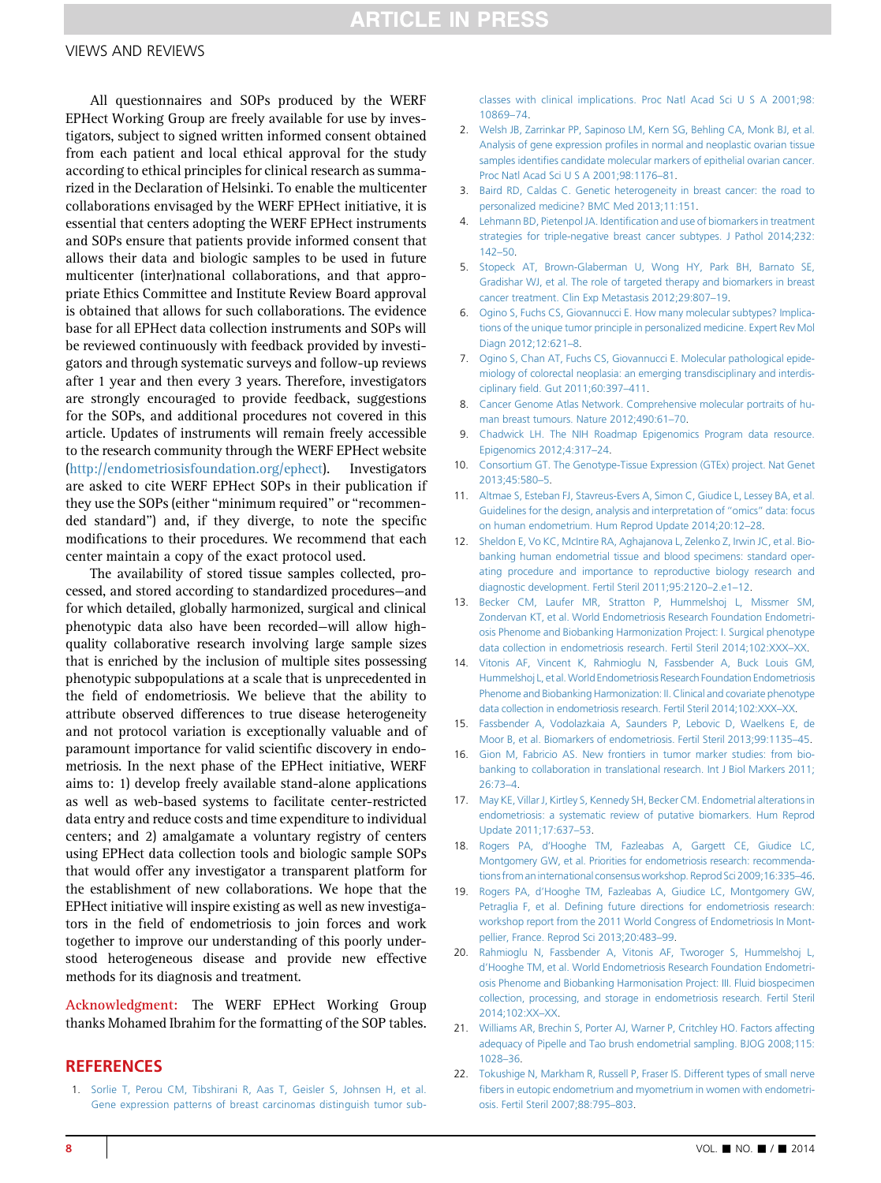#### <span id="page-7-0"></span>VIEWS AND REVIEWS

All questionnaires and SOPs produced by the WERF EPHect Working Group are freely available for use by investigators, subject to signed written informed consent obtained from each patient and local ethical approval for the study according to ethical principles for clinical research as summarized in the Declaration of Helsinki. To enable the multicenter collaborations envisaged by the WERF EPHect initiative, it is essential that centers adopting the WERF EPHect instruments and SOPs ensure that patients provide informed consent that allows their data and biologic samples to be used in future multicenter (inter)national collaborations, and that appropriate Ethics Committee and Institute Review Board approval is obtained that allows for such collaborations. The evidence base for all EPHect data collection instruments and SOPs will be reviewed continuously with feedback provided by investigators and through systematic surveys and follow-up reviews after 1 year and then every 3 years. Therefore, investigators are strongly encouraged to provide feedback, suggestions for the SOPs, and additional procedures not covered in this article. Updates of instruments will remain freely accessible to the research community through the WERF EPHect website [\(http://endometriosisfoundation.org/ephect](http://endometriosisfoundation.org/ephect)). Investigators are asked to cite WERF EPHect SOPs in their publication if they use the SOPs (either ''minimum required'' or ''recommended standard'') and, if they diverge, to note the specific modifications to their procedures. We recommend that each center maintain a copy of the exact protocol used.

The availability of stored tissue samples collected, processed, and stored according to standardized procedures—and for which detailed, globally harmonized, surgical and clinical phenotypic data also have been recorded—will allow highquality collaborative research involving large sample sizes that is enriched by the inclusion of multiple sites possessing phenotypic subpopulations at a scale that is unprecedented in the field of endometriosis. We believe that the ability to attribute observed differences to true disease heterogeneity and not protocol variation is exceptionally valuable and of paramount importance for valid scientific discovery in endometriosis. In the next phase of the EPHect initiative, WERF aims to: 1) develop freely available stand-alone applications as well as web-based systems to facilitate center-restricted data entry and reduce costs and time expenditure to individual centers; and 2) amalgamate a voluntary registry of centers using EPHect data collection tools and biologic sample SOPs that would offer any investigator a transparent platform for the establishment of new collaborations. We hope that the EPHect initiative will inspire existing as well as new investigators in the field of endometriosis to join forces and work together to improve our understanding of this poorly understood heterogeneous disease and provide new effective methods for its diagnosis and treatment.

Acknowledgment: The WERF EPHect Working Group thanks Mohamed Ibrahim for the formatting of the SOP tables.

# **REFERENCES**

1. [Sorlie T, Perou CM, Tibshirani R, Aas T, Geisler S, Johnsen H, et al.](http://refhub.elsevier.com/S0015-0282(14)01836-6/sref1) [Gene expression patterns of breast carcinomas distinguish tumor sub-](http://refhub.elsevier.com/S0015-0282(14)01836-6/sref1) [classes with clinical implications. Proc Natl Acad Sci U S A 2001;98:](http://refhub.elsevier.com/S0015-0282(14)01836-6/sref1) [10869](http://refhub.elsevier.com/S0015-0282(14)01836-6/sref1)–74.

- 2. [Welsh JB, Zarrinkar PP, Sapinoso LM, Kern SG, Behling CA, Monk BJ, et al.](http://refhub.elsevier.com/S0015-0282(14)01836-6/sref2) Analysis of gene expression profi[les in normal and neoplastic ovarian tissue](http://refhub.elsevier.com/S0015-0282(14)01836-6/sref2) samples identifi[es candidate molecular markers of epithelial ovarian cancer.](http://refhub.elsevier.com/S0015-0282(14)01836-6/sref2) [Proc Natl Acad Sci U S A 2001;98:1176](http://refhub.elsevier.com/S0015-0282(14)01836-6/sref2)–81.
- 3. [Baird RD, Caldas C. Genetic heterogeneity in breast cancer: the road to](http://refhub.elsevier.com/S0015-0282(14)01836-6/sref3) [personalized medicine? BMC Med 2013;11:151](http://refhub.elsevier.com/S0015-0282(14)01836-6/sref3).
- 4. Lehmann BD, Pietenpol JA. Identifi[cation and use of biomarkers in treatment](http://refhub.elsevier.com/S0015-0282(14)01836-6/sref4) [strategies for triple-negative breast cancer subtypes. J Pathol 2014;232:](http://refhub.elsevier.com/S0015-0282(14)01836-6/sref4) [142](http://refhub.elsevier.com/S0015-0282(14)01836-6/sref4)–50.
- 5. [Stopeck AT, Brown-Glaberman U, Wong HY, Park BH, Barnato SE,](http://refhub.elsevier.com/S0015-0282(14)01836-6/sref5) [Gradishar WJ, et al. The role of targeted therapy and biomarkers in breast](http://refhub.elsevier.com/S0015-0282(14)01836-6/sref5) [cancer treatment. Clin Exp Metastasis 2012;29:807](http://refhub.elsevier.com/S0015-0282(14)01836-6/sref5)–19.
- 6. [Ogino S, Fuchs CS, Giovannucci E. How many molecular subtypes? Implica](http://refhub.elsevier.com/S0015-0282(14)01836-6/sref6)[tions of the unique tumor principle in personalized medicine. Expert Rev Mol](http://refhub.elsevier.com/S0015-0282(14)01836-6/sref6) [Diagn 2012;12:621](http://refhub.elsevier.com/S0015-0282(14)01836-6/sref6)–8.
- 7. [Ogino S, Chan AT, Fuchs CS, Giovannucci E. Molecular pathological epide](http://refhub.elsevier.com/S0015-0282(14)01836-6/sref7)[miology of colorectal neoplasia: an emerging transdisciplinary and interdis](http://refhub.elsevier.com/S0015-0282(14)01836-6/sref7)ciplinary fi[eld. Gut 2011;60:397](http://refhub.elsevier.com/S0015-0282(14)01836-6/sref7)–411.
- 8. [Cancer Genome Atlas Network. Comprehensive molecular portraits of hu](http://refhub.elsevier.com/S0015-0282(14)01836-6/sref8)[man breast tumours. Nature 2012;490:61](http://refhub.elsevier.com/S0015-0282(14)01836-6/sref8)-70.
- 9. [Chadwick LH. The NIH Roadmap Epigenomics Program data resource.](http://refhub.elsevier.com/S0015-0282(14)01836-6/sref9) [Epigenomics 2012;4:317](http://refhub.elsevier.com/S0015-0282(14)01836-6/sref9)–24.
- 10. [Consortium GT. The Genotype-Tissue Expression \(GTEx\) project. Nat Genet](http://refhub.elsevier.com/S0015-0282(14)01836-6/sref10) [2013;45:580](http://refhub.elsevier.com/S0015-0282(14)01836-6/sref10)–5.
- 11. [Altmae S, Esteban FJ, Stavreus-Evers A, Simon C, Giudice L, Lessey BA, et al.](http://refhub.elsevier.com/S0015-0282(14)01836-6/sref11) [Guidelines for the design, analysis and interpretation of](http://refhub.elsevier.com/S0015-0282(14)01836-6/sref11) ''omics'' data: focus [on human endometrium. Hum Reprod Update 2014;20:12](http://refhub.elsevier.com/S0015-0282(14)01836-6/sref11)–28.
- 12. [Sheldon E, Vo KC, McIntire RA, Aghajanova L, Zelenko Z, Irwin JC, et al. Bio](http://refhub.elsevier.com/S0015-0282(14)01836-6/sref12)[banking human endometrial tissue and blood specimens: standard oper](http://refhub.elsevier.com/S0015-0282(14)01836-6/sref12)[ating procedure and importance to reproductive biology research and](http://refhub.elsevier.com/S0015-0282(14)01836-6/sref12) [diagnostic development. Fertil Steril 2011;95:2120](http://refhub.elsevier.com/S0015-0282(14)01836-6/sref12)–2.e1–12.
- 13. [Becker CM, Laufer MR, Stratton P, Hummelshoj L, Missmer SM,](http://refhub.elsevier.com/S0015-0282(14)01836-6/sref13) [Zondervan KT, et al. World Endometriosis Research Foundation Endometri](http://refhub.elsevier.com/S0015-0282(14)01836-6/sref13)[osis Phenome and Biobanking Harmonization Project: I. Surgical phenotype](http://refhub.elsevier.com/S0015-0282(14)01836-6/sref13) [data collection in endometriosis research. Fertil Steril 2014;102:XXX](http://refhub.elsevier.com/S0015-0282(14)01836-6/sref13)–XX.
- 14. [Vitonis AF, Vincent K, Rahmioglu N, Fassbender A, Buck Louis GM,](http://refhub.elsevier.com/S0015-0282(14)01836-6/sref14) [Hummelshoj L, et al.World Endometriosis Research Foundation Endometriosis](http://refhub.elsevier.com/S0015-0282(14)01836-6/sref14) [Phenome and Biobanking Harmonization: II. Clinical and covariate phenotype](http://refhub.elsevier.com/S0015-0282(14)01836-6/sref14) [data collection in endometriosis research. Fertil Steril 2014;102:XXX](http://refhub.elsevier.com/S0015-0282(14)01836-6/sref14)–XX.
- 15. [Fassbender A, Vodolazkaia A, Saunders P, Lebovic D, Waelkens E, de](http://refhub.elsevier.com/S0015-0282(14)01836-6/sref15) [Moor B, et al. Biomarkers of endometriosis. Fertil Steril 2013;99:1135](http://refhub.elsevier.com/S0015-0282(14)01836-6/sref15)–45.
- 16. [Gion M, Fabricio AS. New frontiers in tumor marker studies: from bio](http://refhub.elsevier.com/S0015-0282(14)01836-6/sref16)[banking to collaboration in translational research. Int J Biol Markers 2011;](http://refhub.elsevier.com/S0015-0282(14)01836-6/sref16) [26:73](http://refhub.elsevier.com/S0015-0282(14)01836-6/sref16)–4.
- 17. [May KE, Villar J, Kirtley S, Kennedy SH, Becker CM. Endometrial alterations in](http://refhub.elsevier.com/S0015-0282(14)01836-6/sref17) [endometriosis: a systematic review of putative biomarkers. Hum Reprod](http://refhub.elsevier.com/S0015-0282(14)01836-6/sref17) [Update 2011;17:637](http://refhub.elsevier.com/S0015-0282(14)01836-6/sref17)–53.
- 18. Rogers PA, d'[Hooghe TM, Fazleabas A, Gargett CE, Giudice LC,](http://refhub.elsevier.com/S0015-0282(14)01836-6/sref18) [Montgomery GW, et al. Priorities for endometriosis research: recommenda](http://refhub.elsevier.com/S0015-0282(14)01836-6/sref18)[tions from an international consensus workshop. Reprod Sci 2009;16:335](http://refhub.elsevier.com/S0015-0282(14)01836-6/sref18)–46.
- 19. Rogers PA, d'[Hooghe TM, Fazleabas A, Giudice LC, Montgomery GW,](http://refhub.elsevier.com/S0015-0282(14)01836-6/sref19) Petraglia F, et al. Defi[ning future directions for endometriosis research:](http://refhub.elsevier.com/S0015-0282(14)01836-6/sref19) [workshop report from the 2011 World Congress of Endometriosis In Mont](http://refhub.elsevier.com/S0015-0282(14)01836-6/sref19)[pellier, France. Reprod Sci 2013;20:483](http://refhub.elsevier.com/S0015-0282(14)01836-6/sref19)–99.
- 20. [Rahmioglu N, Fassbender A, Vitonis AF, Tworoger S, Hummelshoj L,](http://refhub.elsevier.com/S0015-0282(14)01836-6/sref20) d'[Hooghe TM, et al. World Endometriosis Research Foundation Endometri](http://refhub.elsevier.com/S0015-0282(14)01836-6/sref20)[osis Phenome and Biobanking Harmonisation Project: III. Fluid biospecimen](http://refhub.elsevier.com/S0015-0282(14)01836-6/sref20) [collection, processing, and storage in endometriosis research. Fertil Steril](http://refhub.elsevier.com/S0015-0282(14)01836-6/sref20) [2014;102:XX](http://refhub.elsevier.com/S0015-0282(14)01836-6/sref20)–XX.
- 21. [Williams AR, Brechin S, Porter AJ, Warner P, Critchley HO. Factors affecting](http://refhub.elsevier.com/S0015-0282(14)01836-6/sref21) [adequacy of Pipelle and Tao brush endometrial sampling. BJOG 2008;115:](http://refhub.elsevier.com/S0015-0282(14)01836-6/sref21) [1028](http://refhub.elsevier.com/S0015-0282(14)01836-6/sref21)–36.
- 22. [Tokushige N, Markham R, Russell P, Fraser IS. Different types of small nerve](http://refhub.elsevier.com/S0015-0282(14)01836-6/sref22) fi[bers in eutopic endometrium and myometrium in women with endometri](http://refhub.elsevier.com/S0015-0282(14)01836-6/sref22)[osis. Fertil Steril 2007;88:795](http://refhub.elsevier.com/S0015-0282(14)01836-6/sref22)–803.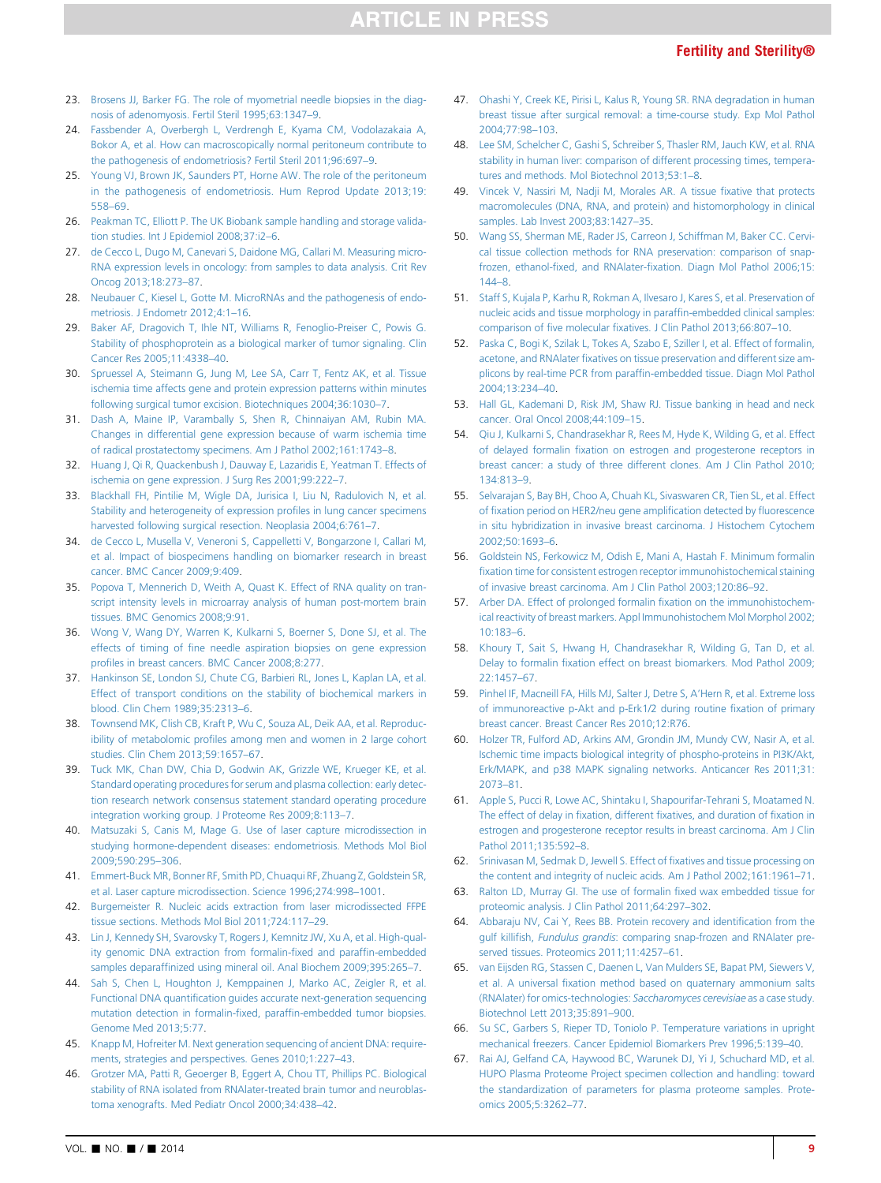- <span id="page-8-0"></span>23. [Brosens JJ, Barker FG. The role of myometrial needle biopsies in the diag](http://refhub.elsevier.com/S0015-0282(14)01836-6/sref23)[nosis of adenomyosis. Fertil Steril 1995;63:1347](http://refhub.elsevier.com/S0015-0282(14)01836-6/sref23)–9.
- 24. [Fassbender A, Overbergh L, Verdrengh E, Kyama CM, Vodolazakaia A,](http://refhub.elsevier.com/S0015-0282(14)01836-6/sref24) [Bokor A, et al. How can macroscopically normal peritoneum contribute to](http://refhub.elsevier.com/S0015-0282(14)01836-6/sref24) [the pathogenesis of endometriosis? Fertil Steril 2011;96:697](http://refhub.elsevier.com/S0015-0282(14)01836-6/sref24)–9.
- 25. [Young VJ, Brown JK, Saunders PT, Horne AW. The role of the peritoneum](http://refhub.elsevier.com/S0015-0282(14)01836-6/sref25) [in the pathogenesis of endometriosis. Hum Reprod Update 2013;19:](http://refhub.elsevier.com/S0015-0282(14)01836-6/sref25) [558](http://refhub.elsevier.com/S0015-0282(14)01836-6/sref25)–69.
- 26. [Peakman TC, Elliott P. The UK Biobank sample handling and storage valida](http://refhub.elsevier.com/S0015-0282(14)01836-6/sref26)[tion studies. Int J Epidemiol 2008;37:i2](http://refhub.elsevier.com/S0015-0282(14)01836-6/sref26)–6.
- 27. [de Cecco L, Dugo M, Canevari S, Daidone MG, Callari M. Measuring micro-](http://refhub.elsevier.com/S0015-0282(14)01836-6/sref27)[RNA expression levels in oncology: from samples to data analysis. Crit Rev](http://refhub.elsevier.com/S0015-0282(14)01836-6/sref27) [Oncog 2013;18:273](http://refhub.elsevier.com/S0015-0282(14)01836-6/sref27)–87.
- 28. [Neubauer C, Kiesel L, Gotte M. MicroRNAs and the pathogenesis of endo](http://refhub.elsevier.com/S0015-0282(14)01836-6/sref28)[metriosis. J Endometr 2012;4:1](http://refhub.elsevier.com/S0015-0282(14)01836-6/sref28)–16.
- 29. [Baker AF, Dragovich T, Ihle NT, Williams R, Fenoglio-Preiser C, Powis G.](http://refhub.elsevier.com/S0015-0282(14)01836-6/sref29) [Stability of phosphoprotein as a biological marker of tumor signaling. Clin](http://refhub.elsevier.com/S0015-0282(14)01836-6/sref29) [Cancer Res 2005;11:4338](http://refhub.elsevier.com/S0015-0282(14)01836-6/sref29)–40.
- 30. [Spruessel A, Steimann G, Jung M, Lee SA, Carr T, Fentz AK, et al. Tissue](http://refhub.elsevier.com/S0015-0282(14)01836-6/sref30) [ischemia time affects gene and protein expression patterns within minutes](http://refhub.elsevier.com/S0015-0282(14)01836-6/sref30) [following surgical tumor excision. Biotechniques 2004;36:1030](http://refhub.elsevier.com/S0015-0282(14)01836-6/sref30)–7.
- 31. [Dash A, Maine IP, Varambally S, Shen R, Chinnaiyan AM, Rubin MA.](http://refhub.elsevier.com/S0015-0282(14)01836-6/sref31) [Changes in differential gene expression because of warm ischemia time](http://refhub.elsevier.com/S0015-0282(14)01836-6/sref31) [of radical prostatectomy specimens. Am J Pathol 2002;161:1743](http://refhub.elsevier.com/S0015-0282(14)01836-6/sref31)–8.
- 32. [Huang J, Qi R, Quackenbush J, Dauway E, Lazaridis E, Yeatman T. Effects of](http://refhub.elsevier.com/S0015-0282(14)01836-6/sref32) [ischemia on gene expression. J Surg Res 2001;99:222](http://refhub.elsevier.com/S0015-0282(14)01836-6/sref32)–7.
- 33. [Blackhall FH, Pintilie M, Wigle DA, Jurisica I, Liu N, Radulovich N, et al.](http://refhub.elsevier.com/S0015-0282(14)01836-6/sref33) [Stability and heterogeneity of expression pro](http://refhub.elsevier.com/S0015-0282(14)01836-6/sref33)files in lung cancer specimens [harvested following surgical resection. Neoplasia 2004;6:761](http://refhub.elsevier.com/S0015-0282(14)01836-6/sref33)-7.
- 34. [de Cecco L, Musella V, Veneroni S, Cappelletti V, Bongarzone I, Callari M,](http://refhub.elsevier.com/S0015-0282(14)01836-6/sref34) [et al. Impact of biospecimens handling on biomarker research in breast](http://refhub.elsevier.com/S0015-0282(14)01836-6/sref34) [cancer. BMC Cancer 2009;9:409.](http://refhub.elsevier.com/S0015-0282(14)01836-6/sref34)
- 35. [Popova T, Mennerich D, Weith A, Quast K. Effect of RNA quality on tran](http://refhub.elsevier.com/S0015-0282(14)01836-6/sref35)[script intensity levels in microarray analysis of human post-mortem brain](http://refhub.elsevier.com/S0015-0282(14)01836-6/sref35) [tissues. BMC Genomics 2008;9:91](http://refhub.elsevier.com/S0015-0282(14)01836-6/sref35).
- 36. [Wong V, Wang DY, Warren K, Kulkarni S, Boerner S, Done SJ, et al. The](http://refhub.elsevier.com/S0015-0282(14)01836-6/sref36) effects of timing of fi[ne needle aspiration biopsies on gene expression](http://refhub.elsevier.com/S0015-0282(14)01836-6/sref36) profi[les in breast cancers. BMC Cancer 2008;8:277](http://refhub.elsevier.com/S0015-0282(14)01836-6/sref36).
- 37. [Hankinson SE, London SJ, Chute CG, Barbieri RL, Jones L, Kaplan LA, et al.](http://refhub.elsevier.com/S0015-0282(14)01836-6/sref37) [Effect of transport conditions on the stability of biochemical markers in](http://refhub.elsevier.com/S0015-0282(14)01836-6/sref37) [blood. Clin Chem 1989;35:2313](http://refhub.elsevier.com/S0015-0282(14)01836-6/sref37)–6.
- 38. [Townsend MK, Clish CB, Kraft P, Wu C, Souza AL, Deik AA, et al. Reproduc](http://refhub.elsevier.com/S0015-0282(14)01836-6/sref38)ibility of metabolomic profi[les among men and women in 2 large cohort](http://refhub.elsevier.com/S0015-0282(14)01836-6/sref38) [studies. Clin Chem 2013;59:1657](http://refhub.elsevier.com/S0015-0282(14)01836-6/sref38)–67.
- 39. [Tuck MK, Chan DW, Chia D, Godwin AK, Grizzle WE, Krueger KE, et al.](http://refhub.elsevier.com/S0015-0282(14)01836-6/sref39) [Standard operating procedures for serum and plasma collection: early detec](http://refhub.elsevier.com/S0015-0282(14)01836-6/sref39)[tion research network consensus statement standard operating procedure](http://refhub.elsevier.com/S0015-0282(14)01836-6/sref39) [integration working group. J Proteome Res 2009;8:113](http://refhub.elsevier.com/S0015-0282(14)01836-6/sref39)–7.
- 40. [Matsuzaki S, Canis M, Mage G. Use of laser capture microdissection in](http://refhub.elsevier.com/S0015-0282(14)01836-6/sref40) [studying hormone-dependent diseases: endometriosis. Methods Mol Biol](http://refhub.elsevier.com/S0015-0282(14)01836-6/sref40) [2009;590:295](http://refhub.elsevier.com/S0015-0282(14)01836-6/sref40)–306.
- 41. [Emmert-Buck MR, Bonner RF, Smith PD, Chuaqui RF, Zhuang Z, Goldstein SR,](http://refhub.elsevier.com/S0015-0282(14)01836-6/sref41) [et al. Laser capture microdissection. Science 1996;274:998](http://refhub.elsevier.com/S0015-0282(14)01836-6/sref41)–1001.
- 42. [Burgemeister R. Nucleic acids extraction from laser microdissected FFPE](http://refhub.elsevier.com/S0015-0282(14)01836-6/sref42) [tissue sections. Methods Mol Biol 2011;724:117](http://refhub.elsevier.com/S0015-0282(14)01836-6/sref42)–29.
- 43. [Lin J, Kennedy SH, Svarovsky T, Rogers J, Kemnitz JW, Xu A, et al. High-qual](http://refhub.elsevier.com/S0015-0282(14)01836-6/sref43)[ity genomic DNA extraction from formalin-](http://refhub.elsevier.com/S0015-0282(14)01836-6/sref43)fixed and paraffin-embedded samples deparaffi[nized using mineral oil. Anal Biochem 2009;395:265](http://refhub.elsevier.com/S0015-0282(14)01836-6/sref43)–7.
- 44. [Sah S, Chen L, Houghton J, Kemppainen J, Marko AC, Zeigler R, et al.](http://refhub.elsevier.com/S0015-0282(14)01836-6/sref44) Functional DNA quantifi[cation guides accurate next-generation sequencing](http://refhub.elsevier.com/S0015-0282(14)01836-6/sref44) [mutation detection in formalin-](http://refhub.elsevier.com/S0015-0282(14)01836-6/sref44)fixed, paraffin-embedded tumor biopsies. [Genome Med 2013;5:77](http://refhub.elsevier.com/S0015-0282(14)01836-6/sref44).
- 45. [Knapp M, Hofreiter M. Next generation sequencing of ancient DNA: require](http://refhub.elsevier.com/S0015-0282(14)01836-6/sref45)[ments, strategies and perspectives. Genes 2010;1:227](http://refhub.elsevier.com/S0015-0282(14)01836-6/sref45)–43.
- 46. [Grotzer MA, Patti R, Geoerger B, Eggert A, Chou TT, Phillips PC. Biological](http://refhub.elsevier.com/S0015-0282(14)01836-6/sref46) [stability of RNA isolated from RNAlater-treated brain tumor and neuroblas](http://refhub.elsevier.com/S0015-0282(14)01836-6/sref46)[toma xenografts. Med Pediatr Oncol 2000;34:438](http://refhub.elsevier.com/S0015-0282(14)01836-6/sref46)–42.
- 47. [Ohashi Y, Creek KE, Pirisi L, Kalus R, Young SR. RNA degradation in human](http://refhub.elsevier.com/S0015-0282(14)01836-6/sref47) [breast tissue after surgical removal: a time-course study. Exp Mol Pathol](http://refhub.elsevier.com/S0015-0282(14)01836-6/sref47) [2004;77:98](http://refhub.elsevier.com/S0015-0282(14)01836-6/sref47)–103.
- 48. [Lee SM, Schelcher C, Gashi S, Schreiber S, Thasler RM, Jauch KW, et al. RNA](http://refhub.elsevier.com/S0015-0282(14)01836-6/sref48) [stability in human liver: comparison of different processing times, tempera](http://refhub.elsevier.com/S0015-0282(14)01836-6/sref48)[tures and methods. Mol Biotechnol 2013;53:1](http://refhub.elsevier.com/S0015-0282(14)01836-6/sref48)–8.
- 49. [Vincek V, Nassiri M, Nadji M, Morales AR. A tissue](http://refhub.elsevier.com/S0015-0282(14)01836-6/sref49) fixative that protects [macromolecules \(DNA, RNA, and protein\) and histomorphology in clinical](http://refhub.elsevier.com/S0015-0282(14)01836-6/sref49) [samples. Lab Invest 2003;83:1427](http://refhub.elsevier.com/S0015-0282(14)01836-6/sref49)–35.
- 50. [Wang SS, Sherman ME, Rader JS, Carreon J, Schiffman M, Baker CC. Cervi](http://refhub.elsevier.com/S0015-0282(14)01836-6/sref50)[cal tissue collection methods for RNA preservation: comparison of snap](http://refhub.elsevier.com/S0015-0282(14)01836-6/sref50)frozen, ethanol-fixed, and RNAlater-fi[xation. Diagn Mol Pathol 2006;15:](http://refhub.elsevier.com/S0015-0282(14)01836-6/sref50) [144](http://refhub.elsevier.com/S0015-0282(14)01836-6/sref50)–8.
- 51. [Staff S, Kujala P, Karhu R, Rokman A, Ilvesaro J, Kares S, et al. Preservation of](http://refhub.elsevier.com/S0015-0282(14)01836-6/sref51) [nucleic acids and tissue morphology in paraf](http://refhub.elsevier.com/S0015-0282(14)01836-6/sref51)fin-embedded clinical samples: comparison of five molecular fi[xatives. J Clin Pathol 2013;66:807](http://refhub.elsevier.com/S0015-0282(14)01836-6/sref51)–10.
- 52. [Paska C, Bogi K, Szilak L, Tokes A, Szabo E, Sziller I, et al. Effect of formalin,](http://refhub.elsevier.com/S0015-0282(14)01836-6/sref52) acetone, and RNAlater fi[xatives on tissue preservation and different size am](http://refhub.elsevier.com/S0015-0282(14)01836-6/sref52)plicons by real-time PCR from paraffi[n-embedded tissue. Diagn Mol Pathol](http://refhub.elsevier.com/S0015-0282(14)01836-6/sref52) [2004;13:234](http://refhub.elsevier.com/S0015-0282(14)01836-6/sref52)–40.
- 53. [Hall GL, Kademani D, Risk JM, Shaw RJ. Tissue banking in head and neck](http://refhub.elsevier.com/S0015-0282(14)01836-6/sref53) [cancer. Oral Oncol 2008;44:109](http://refhub.elsevier.com/S0015-0282(14)01836-6/sref53)–15.
- 54. [Qiu J, Kulkarni S, Chandrasekhar R, Rees M, Hyde K, Wilding G, et al. Effect](http://refhub.elsevier.com/S0015-0282(14)01836-6/sref54) of delayed formalin fi[xation on estrogen and progesterone receptors in](http://refhub.elsevier.com/S0015-0282(14)01836-6/sref54) [breast cancer: a study of three different clones. Am J Clin Pathol 2010;](http://refhub.elsevier.com/S0015-0282(14)01836-6/sref54) [134:813](http://refhub.elsevier.com/S0015-0282(14)01836-6/sref54)–9.
- 55. [Selvarajan S, Bay BH, Choo A, Chuah KL, Sivaswaren CR, Tien SL, et al. Effect](http://refhub.elsevier.com/S0015-0282(14)01836-6/sref55) of fi[xation period on HER2/neu gene ampli](http://refhub.elsevier.com/S0015-0282(14)01836-6/sref55)fication detected by fluorescence [in situ hybridization in invasive breast carcinoma. J Histochem Cytochem](http://refhub.elsevier.com/S0015-0282(14)01836-6/sref55) [2002;50:1693](http://refhub.elsevier.com/S0015-0282(14)01836-6/sref55)–6.
- 56. [Goldstein NS, Ferkowicz M, Odish E, Mani A, Hastah F. Minimum formalin](http://refhub.elsevier.com/S0015-0282(14)01836-6/sref56) fi[xation time for consistent estrogen receptor immunohistochemical staining](http://refhub.elsevier.com/S0015-0282(14)01836-6/sref56) [of invasive breast carcinoma. Am J Clin Pathol 2003;120:86](http://refhub.elsevier.com/S0015-0282(14)01836-6/sref56)–92.
- 57. [Arber DA. Effect of prolonged formalin](http://refhub.elsevier.com/S0015-0282(14)01836-6/sref57) fixation on the immunohistochem[ical reactivity of breast markers. Appl Immunohistochem Mol Morphol 2002;](http://refhub.elsevier.com/S0015-0282(14)01836-6/sref57) [10:183](http://refhub.elsevier.com/S0015-0282(14)01836-6/sref57)–6.
- 58. [Khoury T, Sait S, Hwang H, Chandrasekhar R, Wilding G, Tan D, et al.](http://refhub.elsevier.com/S0015-0282(14)01836-6/sref58) Delay to formalin fi[xation effect on breast biomarkers. Mod Pathol 2009;](http://refhub.elsevier.com/S0015-0282(14)01836-6/sref58) [22:1457](http://refhub.elsevier.com/S0015-0282(14)01836-6/sref58)–67.
- 59. [Pinhel IF, Macneill FA, Hills MJ, Salter J, Detre S, A](http://refhub.elsevier.com/S0015-0282(14)01836-6/sref59)'Hern R, et al. Extreme loss [of immunoreactive p-Akt and p-Erk1/2 during routine](http://refhub.elsevier.com/S0015-0282(14)01836-6/sref59) fixation of primary [breast cancer. Breast Cancer Res 2010;12:R76.](http://refhub.elsevier.com/S0015-0282(14)01836-6/sref59)
- 60. [Holzer TR, Fulford AD, Arkins AM, Grondin JM, Mundy CW, Nasir A, et al.](http://refhub.elsevier.com/S0015-0282(14)01836-6/sref60) [Ischemic time impacts biological integrity of phospho-proteins in PI3K/Akt,](http://refhub.elsevier.com/S0015-0282(14)01836-6/sref60) [Erk/MAPK, and p38 MAPK signaling networks. Anticancer Res 2011;31:](http://refhub.elsevier.com/S0015-0282(14)01836-6/sref60) [2073](http://refhub.elsevier.com/S0015-0282(14)01836-6/sref60)–81.
- 61. [Apple S, Pucci R, Lowe AC, Shintaku I, Shapourifar-Tehrani S, Moatamed N.](http://refhub.elsevier.com/S0015-0282(14)01836-6/sref61) The effect of delay in fixation, different fi[xatives, and duration of](http://refhub.elsevier.com/S0015-0282(14)01836-6/sref61) fixation in [estrogen and progesterone receptor results in breast carcinoma. Am J Clin](http://refhub.elsevier.com/S0015-0282(14)01836-6/sref61) [Pathol 2011;135:592](http://refhub.elsevier.com/S0015-0282(14)01836-6/sref61)–8.
- 62. [Srinivasan M, Sedmak D, Jewell S. Effect of](http://refhub.elsevier.com/S0015-0282(14)01836-6/sref62) fixatives and tissue processing on [the content and integrity of nucleic acids. Am J Pathol 2002;161:1961](http://refhub.elsevier.com/S0015-0282(14)01836-6/sref62)–71.
- 63. [Ralton LD, Murray GI. The use of formalin](http://refhub.elsevier.com/S0015-0282(14)01836-6/sref63) fixed wax embedded tissue for [proteomic analysis. J Clin Pathol 2011;64:297](http://refhub.elsevier.com/S0015-0282(14)01836-6/sref63)–302.
- 64. [Abbaraju NV, Cai Y, Rees BB. Protein recovery and identi](http://refhub.elsevier.com/S0015-0282(14)01836-6/sref64)fication from the gulf killifish, Fundulus grandis[: comparing snap-frozen and RNAlater pre](http://refhub.elsevier.com/S0015-0282(14)01836-6/sref64)[served tissues. Proteomics 2011;11:4257](http://refhub.elsevier.com/S0015-0282(14)01836-6/sref64)–61.
- 65. [van Eijsden RG, Stassen C, Daenen L, Van Mulders SE, Bapat PM, Siewers V,](http://refhub.elsevier.com/S0015-0282(14)01836-6/sref65) et al. A universal fi[xation method based on quaternary ammonium salts](http://refhub.elsevier.com/S0015-0282(14)01836-6/sref65) [\(RNAlater\) for omics-technologies:](http://refhub.elsevier.com/S0015-0282(14)01836-6/sref65) Saccharomyces cerevisiae as a case study. [Biotechnol Lett 2013;35:891](http://refhub.elsevier.com/S0015-0282(14)01836-6/sref65)–900.
- 66. [Su SC, Garbers S, Rieper TD, Toniolo P. Temperature variations in upright](http://refhub.elsevier.com/S0015-0282(14)01836-6/sref66) [mechanical freezers. Cancer Epidemiol Biomarkers Prev 1996;5:139](http://refhub.elsevier.com/S0015-0282(14)01836-6/sref66)–40.
- 67. [Rai AJ, Gelfand CA, Haywood BC, Warunek DJ, Yi J, Schuchard MD, et al.](http://refhub.elsevier.com/S0015-0282(14)01836-6/sref67) [HUPO Plasma Proteome Project specimen collection and handling: toward](http://refhub.elsevier.com/S0015-0282(14)01836-6/sref67) [the standardization of parameters for plasma proteome samples. Prote](http://refhub.elsevier.com/S0015-0282(14)01836-6/sref67)[omics 2005;5:3262](http://refhub.elsevier.com/S0015-0282(14)01836-6/sref67)–77.